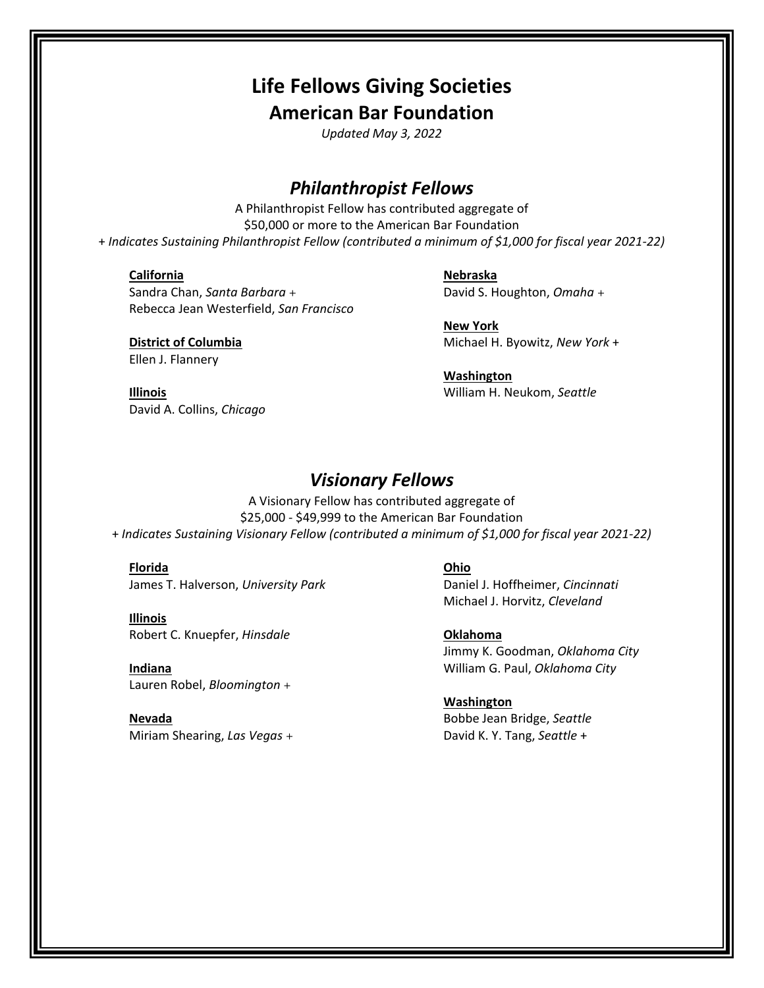# **Life Fellows Giving Societies American Bar Foundation**

*Updated May 3, 2022*

# *Philanthropist Fellows*

A Philanthropist Fellow has contributed aggregate of \$50,000 or more to the American Bar Foundation + *Indicates Sustaining Philanthropist Fellow (contributed a minimum of \$1,000 for fiscal year 2021-22)*

# **California**

## **Nebraska**

Sandra Chan, *Santa Barbara* + Rebecca Jean Westerfield, *San Francisco*

**District of Columbia** Ellen J. Flannery

**New York** Michael H. Byowitz, *New York* +

David S. Houghton, *Omaha* +

**Washington** William H. Neukom, *Seattle*

**Illinois** David A. Collins, *Chicago*

# *Visionary Fellows*

A Visionary Fellow has contributed aggregate of \$25,000 - \$49,999 to the American Bar Foundation + *Indicates Sustaining Visionary Fellow (contributed a minimum of \$1,000 for fiscal year 2021-22)*

**Florida** James T. Halverson, *University Park*

**Illinois** Robert C. Knuepfer, *Hinsdale*

**Indiana** Lauren Robel, *Bloomington* +

**Nevada** Miriam Shearing, *Las Vegas* + **Ohio**

Daniel J. Hoffheimer, *Cincinnati* Michael J. Horvitz, *Cleveland*

**Oklahoma** Jimmy K. Goodman, *Oklahoma City* William G. Paul, *Oklahoma City*

**Washington** Bobbe Jean Bridge, *Seattle* David K. Y. Tang, *Seattle* +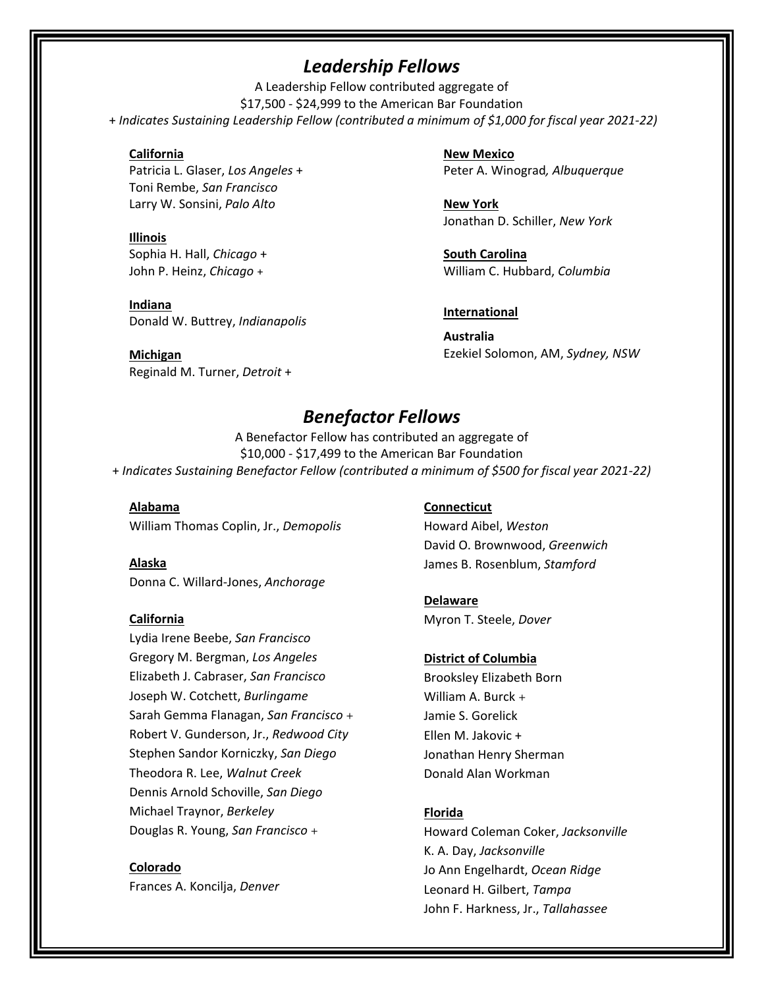# *Leadership Fellows*

A Leadership Fellow contributed aggregate of \$17,500 - \$24,999 to the American Bar Foundation + *Indicates Sustaining Leadership Fellow (contributed a minimum of \$1,000 for fiscal year 2021-22)*

# **California**

Patricia L. Glaser, *Los Angeles* + Toni Rembe, *San Francisco* Larry W. Sonsini, *Palo Alto*

**Illinois** Sophia H. Hall, *Chicago* + John P. Heinz, *Chicago* +

**Indiana** Donald W. Buttrey, *Indianapolis*

**Michigan** Reginald M. Turner, *Detroit* + **New Mexico** Peter A. Winograd*, Albuquerque*

**New York** Jonathan D. Schiller, *New York*

**South Carolina** William C. Hubbard, *Columbia*

# **International**

**Australia** Ezekiel Solomon, AM, *Sydney, NSW*

# *Benefactor Fellows*

A Benefactor Fellow has contributed an aggregate of \$10,000 - \$17,499 to the American Bar Foundation + *Indicates Sustaining Benefactor Fellow (contributed a minimum of \$500 for fiscal year 2021-22)*

**Alabama** William Thomas Coplin, Jr., *Demopolis*

**Alaska** Donna C. Willard-Jones, *Anchorage*

# **California**

Lydia Irene Beebe, *San Francisco*  Gregory M. Bergman, *Los Angeles* Elizabeth J. Cabraser, *San Francisco* Joseph W. Cotchett, *Burlingame* Sarah Gemma Flanagan, *San Francisco* + Robert V. Gunderson, Jr., *Redwood City* Stephen Sandor Korniczky, *San Diego* Theodora R. Lee, *Walnut Creek* Dennis Arnold Schoville, *San Diego* Michael Traynor, *Berkeley* Douglas R. Young, *San Francisco* +

**Colorado** Frances A. Koncilja, *Denver*

# **Connecticut**

Howard Aibel, *Weston* David O. Brownwood, *Greenwich* James B. Rosenblum, *Stamford*

# **Delaware**

Myron T. Steele, *Dover*

# **District of Columbia**

Brooksley Elizabeth Born William A. Burck + Jamie S. Gorelick Ellen M. Jakovic + Jonathan Henry Sherman Donald Alan Workman

# **Florida**

Howard Coleman Coker, *Jacksonville* K. A. Day, *Jacksonville* Jo Ann Engelhardt, *Ocean Ridge* Leonard H. Gilbert, *Tampa* John F. Harkness, Jr., *Tallahassee*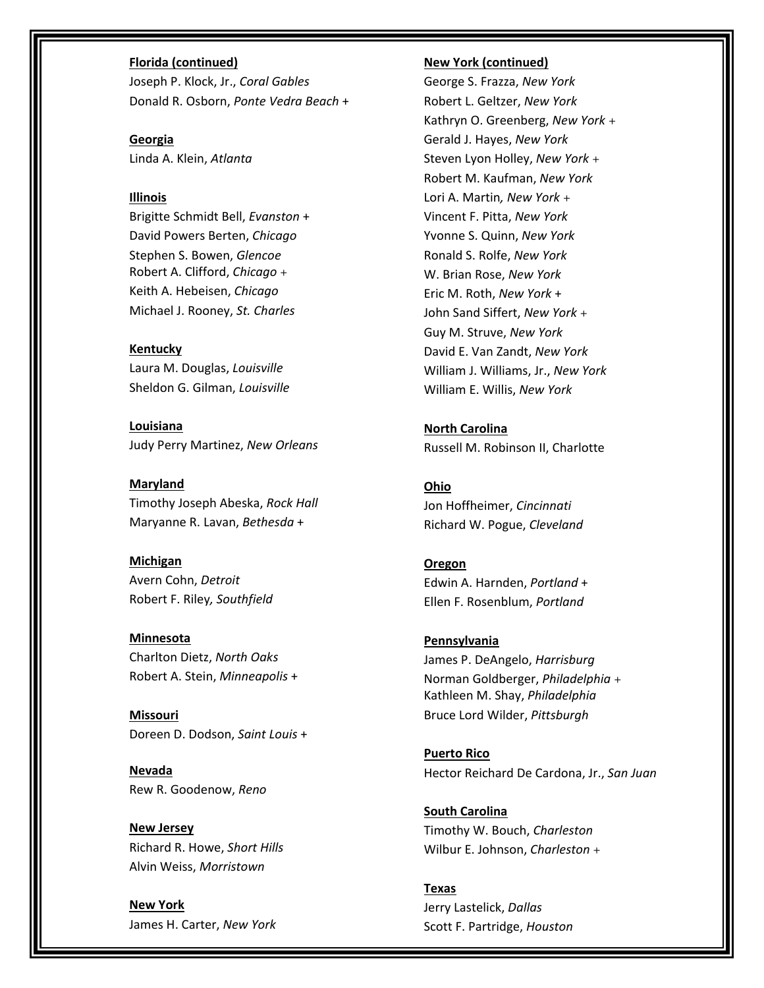## **Florida (continued)**

Joseph P. Klock, Jr., *Coral Gables* Donald R. Osborn, *Ponte Vedra Beach* +

**Georgia** Linda A. Klein, *Atlanta*

# **Illinois**

Brigitte Schmidt Bell, *Evanston* + David Powers Berten, *Chicago* Stephen S. Bowen, *Glencoe* Robert A. Clifford, *Chicago* + Keith A. Hebeisen, *Chicago* Michael J. Rooney, *St. Charles*

# **Kentucky**

Laura M. Douglas, *Louisville* Sheldon G. Gilman, *Louisville*

**Louisiana** Judy Perry Martinez, *New Orleans*

**Maryland** Timothy Joseph Abeska, *Rock Hall* Maryanne R. Lavan, *Bethesda* +

**Michigan** Avern Cohn, *Detroit* Robert F. Riley*, Southfield*

**Minnesota** Charlton Dietz, *North Oaks* Robert A. Stein, *Minneapolis* +

**Missouri** Doreen D. Dodson, *Saint Louis* +

**Nevada** Rew R. Goodenow, *Reno*

**New Jersey** Richard R. Howe, *Short Hills* Alvin Weiss, *Morristown*

**New York** James H. Carter, *New York*

#### **New York (continued)**

George S. Frazza, *New York* Robert L. Geltzer, *New York* Kathryn O. Greenberg, *New York* + Gerald J. Hayes, *New York* Steven Lyon Holley, *New York* + Robert M. Kaufman, *New York* Lori A. Martin*, New York* + Vincent F. Pitta, *New York* Yvonne S. Quinn, *New York* Ronald S. Rolfe, *New York* W. Brian Rose, *New York* Eric M. Roth, *New York* + John Sand Siffert, *New York* + Guy M. Struve, *New York* David E. Van Zandt, *New York* William J. Williams, Jr., *New York* William E. Willis, *New York*

**North Carolina** Russell M. Robinson II, Charlotte

**Ohio** Jon Hoffheimer, *Cincinnati* Richard W. Pogue, *Cleveland*

**Oregon** Edwin A. Harnden, *Portland* + Ellen F. Rosenblum, *Portland*

**Pennsylvania** James P. DeAngelo, *Harrisburg* Norman Goldberger, *Philadelphia* + Kathleen M. Shay, *Philadelphia* Bruce Lord Wilder, *Pittsburgh*

**Puerto Rico** Hector Reichard De Cardona, Jr., *San Juan*

**South Carolina** Timothy W. Bouch, *Charleston* Wilbur E. Johnson, *Charleston* +

**Texas** Jerry Lastelick, *Dallas* Scott F. Partridge, *Houston*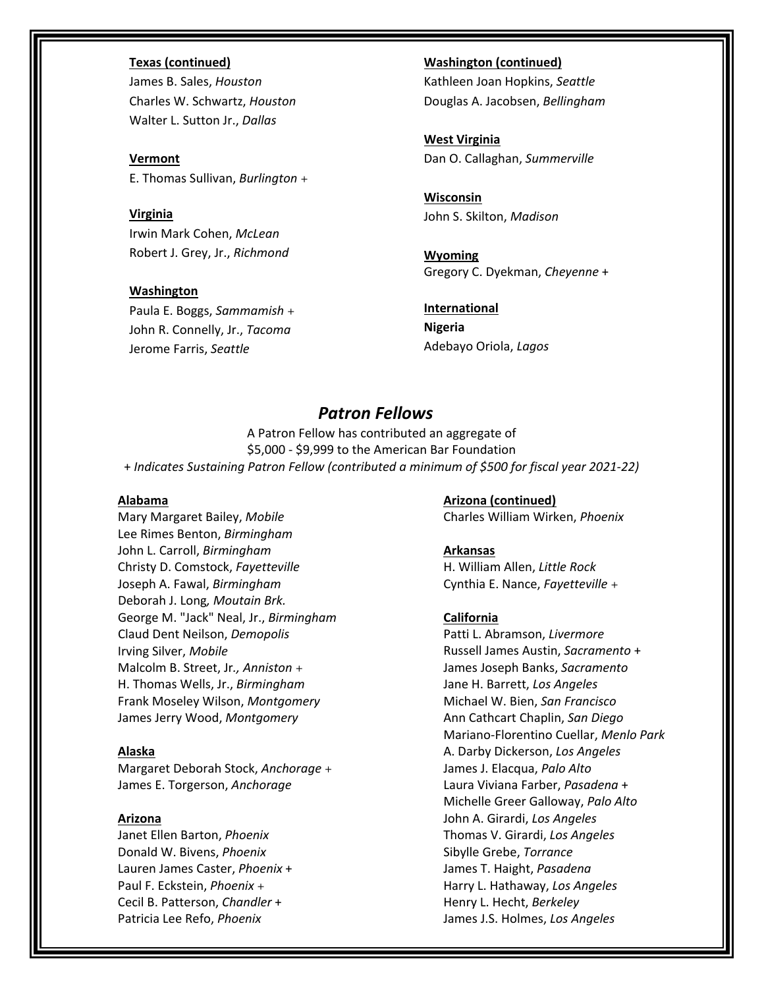### **Texas (continued)**

James B. Sales, *Houston* Charles W. Schwartz, *Houston* Walter L. Sutton Jr., *Dallas*

**Vermont** E. Thomas Sullivan, *Burlington* +

**Virginia** Irwin Mark Cohen, *McLean* Robert J. Grey, Jr., *Richmond*

**Washington** Paula E. Boggs, *Sammamish* + John R. Connelly, Jr., *Tacoma* Jerome Farris, *Seattle*

**Washington (continued)** Kathleen Joan Hopkins, *Seattle* Douglas A. Jacobsen, *Bellingham*

**West Virginia** Dan O. Callaghan, *Summerville*

**Wisconsin** John S. Skilton, *Madison*

**Wyoming** Gregory C. Dyekman, *Cheyenne* +

**International Nigeria** Adebayo Oriola, *Lagos*

# *Patron Fellows*

A Patron Fellow has contributed an aggregate of \$5,000 - \$9,999 to the American Bar Foundation + *Indicates Sustaining Patron Fellow (contributed a minimum of \$500 for fiscal year 2021-22)*

## **Alabama**

Mary Margaret Bailey, *Mobile* Lee Rimes Benton, *Birmingham* John L. Carroll, *Birmingham*  Christy D. Comstock, *Fayetteville* Joseph A. Fawal, *Birmingham* Deborah J. Long*, Moutain Brk.* George M. "Jack" Neal, Jr., *Birmingham* Claud Dent Neilson, *Demopolis* Irving Silver, *Mobile* Malcolm B. Street, Jr*., Anniston* + H. Thomas Wells, Jr., *Birmingham* Frank Moseley Wilson, *Montgomery* James Jerry Wood, *Montgomery*

# **Alaska**

Margaret Deborah Stock, *Anchorage* + James E. Torgerson, *Anchorage*

## **Arizona**

Janet Ellen Barton, *Phoenix* Donald W. Bivens, *Phoenix* Lauren James Caster, *Phoenix* + Paul F. Eckstein, *Phoenix* + Cecil B. Patterson, *Chandler* + Patricia Lee Refo, *Phoenix*

**Arizona (continued)** Charles William Wirken, *Phoenix*

### **Arkansas**

H. William Allen, *Little Rock* Cynthia E. Nance, *Fayetteville* +

# **California**

Patti L. Abramson, *Livermore* Russell James Austin, *Sacramento* + James Joseph Banks, *Sacramento* Jane H. Barrett, *Los Angeles* Michael W. Bien, *San Francisco* Ann Cathcart Chaplin, *San Diego* Mariano-Florentino Cuellar, *Menlo Park* A. Darby Dickerson, *Los Angeles* James J. Elacqua, *Palo Alto* Laura Viviana Farber, *Pasadena* + Michelle Greer Galloway, *Palo Alto* John A. Girardi, *Los Angeles* Thomas V. Girardi, *Los Angeles* Sibylle Grebe, *Torrance* James T. Haight, *Pasadena* Harry L. Hathaway, *Los Angeles* Henry L. Hecht, *Berkeley* James J.S. Holmes, *Los Angeles*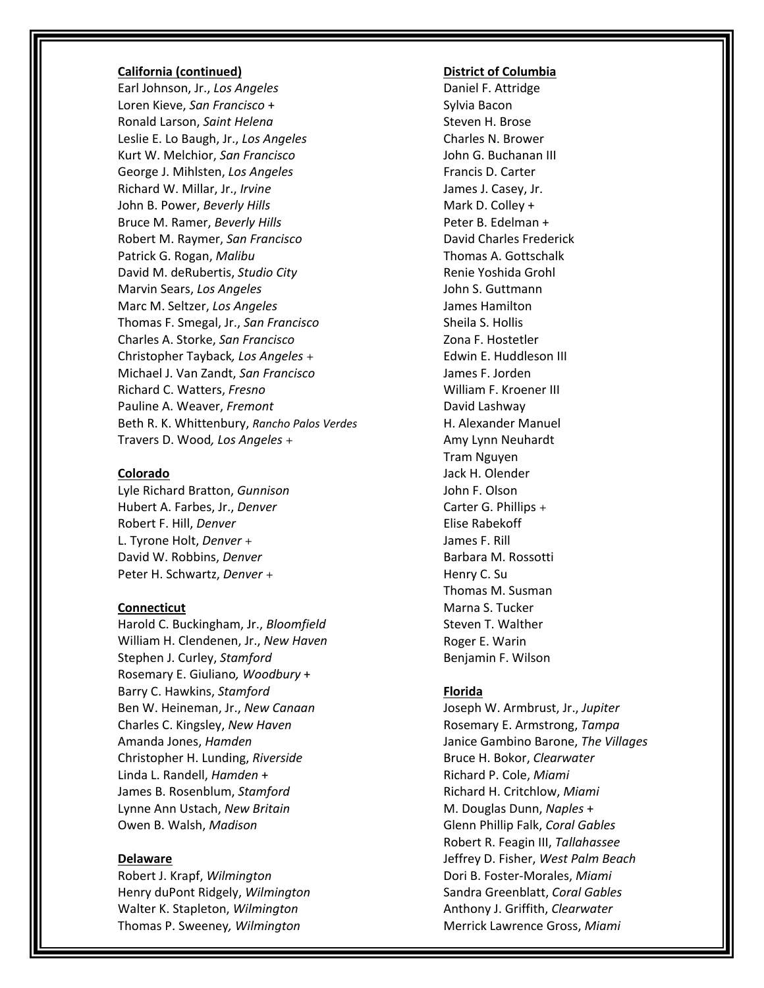# **California (continued)**

Earl Johnson, Jr., *Los Angeles* Loren Kieve, *San Francisco* + Ronald Larson, *Saint Helena* Leslie E. Lo Baugh, Jr., *Los Angeles* Kurt W. Melchior, *San Francisco* George J. Mihlsten, *Los Angeles* Richard W. Millar, Jr., *Irvine* John B. Power, *Beverly Hills* Bruce M. Ramer, *Beverly Hills* Robert M. Raymer, *San Francisco* Patrick G. Rogan, *Malibu* David M. deRubertis, *Studio City* Marvin Sears, *Los Angeles* Marc M. Seltzer, *Los Angeles* Thomas F. Smegal, Jr., *San Francisco* Charles A. Storke, *San Francisco* Christopher Tayback*, Los Angeles* + Michael J. Van Zandt, *San Francisco* Richard C. Watters, *Fresno* Pauline A. Weaver, *Fremont* Beth R. K. Whittenbury, *Rancho Palos Verdes* Travers D. Wood*, Los Angeles* +

### **Colorado**

Lyle Richard Bratton, *Gunnison* Hubert A. Farbes, Jr., *Denver* Robert F. Hill, *Denver* L. Tyrone Holt, *Denver* + David W. Robbins, *Denver* Peter H. Schwartz, *Denver* +

#### **Connecticut**

Harold C. Buckingham, Jr., *Bloomfield* William H. Clendenen, Jr., *New Haven* Stephen J. Curley, *Stamford* Rosemary E. Giuliano*, Woodbury* + Barry C. Hawkins, *Stamford* Ben W. Heineman, Jr., *New Canaan* Charles C. Kingsley, *New Haven* Amanda Jones, *Hamden* Christopher H. Lunding, *Riverside* Linda L. Randell, *Hamden* + James B. Rosenblum, *Stamford* Lynne Ann Ustach, *New Britain* Owen B. Walsh, *Madison*

#### **Delaware**

Robert J. Krapf, *Wilmington* Henry duPont Ridgely, *Wilmington* Walter K. Stapleton, *Wilmington* Thomas P. Sweeney*, Wilmington*

#### **District of Columbia**

Daniel F. Attridge Sylvia Bacon Steven H. Brose Charles N. Brower John G. Buchanan III Francis D. Carter James J. Casey, Jr. Mark D. Colley + Peter B. Edelman + David Charles Frederick Thomas A. Gottschalk Renie Yoshida Grohl John S. Guttmann James Hamilton Sheila S. Hollis Zona F. Hostetler Edwin E. Huddleson III James F. Jorden William F. Kroener III David Lashway H. Alexander Manuel Amy Lynn Neuhardt Tram Nguyen Jack H. Olender John F. Olson Carter G. Phillips + Elise Rabekoff James F. Rill Barbara M. Rossotti Henry C. Su Thomas M. Susman Marna S. Tucker Steven T. Walther Roger E. Warin Benjamin F. Wilson

### **Florida**

Joseph W. Armbrust, Jr., *Jupiter* Rosemary E. Armstrong, *Tampa* Janice Gambino Barone, *The Villages* Bruce H. Bokor, *Clearwater* Richard P. Cole, *Miami* Richard H. Critchlow, *Miami* M. Douglas Dunn, *Naples* + Glenn Phillip Falk, *Coral Gables* Robert R. Feagin III, *Tallahassee* Jeffrey D. Fisher, *West Palm Beach* Dori B. Foster-Morales, *Miami* Sandra Greenblatt, *Coral Gables* Anthony J. Griffith, *Clearwater* Merrick Lawrence Gross, *Miami*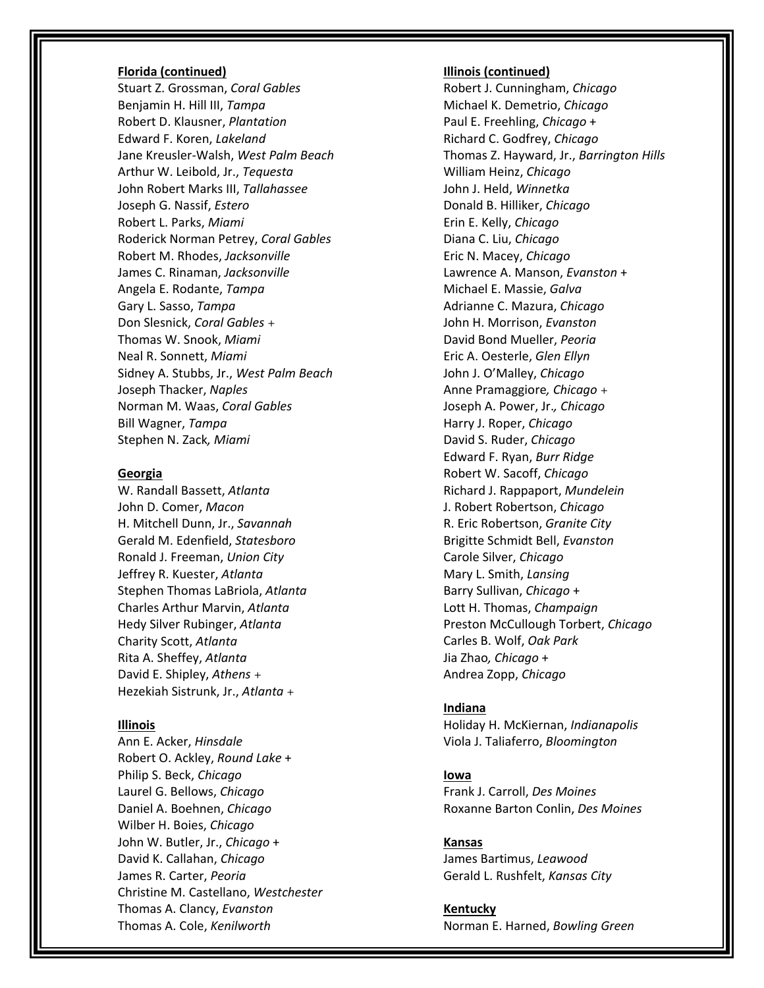#### **Florida (continued)**

Stuart Z. Grossman, *Coral Gables* Benjamin H. Hill III, *Tampa* Robert D. Klausner, *Plantation* Edward F. Koren, *Lakeland* Jane Kreusler-Walsh, *West Palm Beach* Arthur W. Leibold, Jr., *Tequesta* John Robert Marks III, *Tallahassee* Joseph G. Nassif, *Estero* Robert L. Parks, *Miami* Roderick Norman Petrey, *Coral Gables* Robert M. Rhodes, *Jacksonville* James C. Rinaman, *Jacksonville* Angela E. Rodante, *Tampa*  Gary L. Sasso, *Tampa* Don Slesnick, *Coral Gables* + Thomas W. Snook, *Miami*  Neal R. Sonnett, *Miami* Sidney A. Stubbs, Jr., *West Palm Beach* Joseph Thacker, *Naples* Norman M. Waas, *Coral Gables* Bill Wagner, *Tampa* Stephen N. Zack*, Miami*

#### **Georgia**

W. Randall Bassett, *Atlanta* John D. Comer, *Macon* H. Mitchell Dunn, Jr., *Savannah* Gerald M. Edenfield, *Statesboro* Ronald J. Freeman, *Union City* Jeffrey R. Kuester, *Atlanta* Stephen Thomas LaBriola, *Atlanta* Charles Arthur Marvin, *Atlanta* Hedy Silver Rubinger, *Atlanta* Charity Scott, *Atlanta* Rita A. Sheffey, *Atlanta* David E. Shipley, *Athens* + Hezekiah Sistrunk, Jr., *Atlanta* +

#### **Illinois**

Ann E. Acker, *Hinsdale* Robert O. Ackley, *Round Lake* + Philip S. Beck, *Chicago* Laurel G. Bellows, *Chicago* Daniel A. Boehnen, *Chicago* Wilber H. Boies, *Chicago* John W. Butler, Jr., *Chicago* + David K. Callahan, *Chicago* James R. Carter, *Peoria* Christine M. Castellano, *Westchester* Thomas A. Clancy, *Evanston* Thomas A. Cole, *Kenilworth*

#### **Illinois (continued)**

Robert J. Cunningham, *Chicago* Michael K. Demetrio, *Chicago* Paul E. Freehling, *Chicago* + Richard C. Godfrey, *Chicago* Thomas Z. Hayward, Jr., *Barrington Hills* William Heinz, *Chicago* John J. Held, *Winnetka* Donald B. Hilliker, *Chicago* Erin E. Kelly, *Chicago* Diana C. Liu, *Chicago* Eric N. Macey, *Chicago* Lawrence A. Manson, *Evanston* + Michael E. Massie, *Galva* Adrianne C. Mazura, *Chicago* John H. Morrison, *Evanston* David Bond Mueller, *Peoria* Eric A. Oesterle, *Glen Ellyn* John J. O'Malley, *Chicago* Anne Pramaggiore*, Chicago* + Joseph A. Power, Jr.*, Chicago* Harry J. Roper, *Chicago* David S. Ruder, *Chicago* Edward F. Ryan, *Burr Ridge* Robert W. Sacoff, *Chicago* Richard J. Rappaport, *Mundelein* J. Robert Robertson, *Chicago* R. Eric Robertson, *Granite City* Brigitte Schmidt Bell, *Evanston* Carole Silver, *Chicago* Mary L. Smith, *Lansing* Barry Sullivan, *Chicago* + Lott H. Thomas, *Champaign* Preston McCullough Torbert, *Chicago* Carles B. Wolf, *Oak Park* Jia Zhao*, Chicago* + Andrea Zopp, *Chicago*

#### **Indiana**

Holiday H. McKiernan, *Indianapolis* Viola J. Taliaferro, *Bloomington*

#### **Iowa**

Frank J. Carroll, *Des Moines* Roxanne Barton Conlin, *Des Moines*

# **Kansas**

James Bartimus, *Leawood* Gerald L. Rushfelt, *Kansas City*

**Kentucky** Norman E. Harned, *Bowling Green*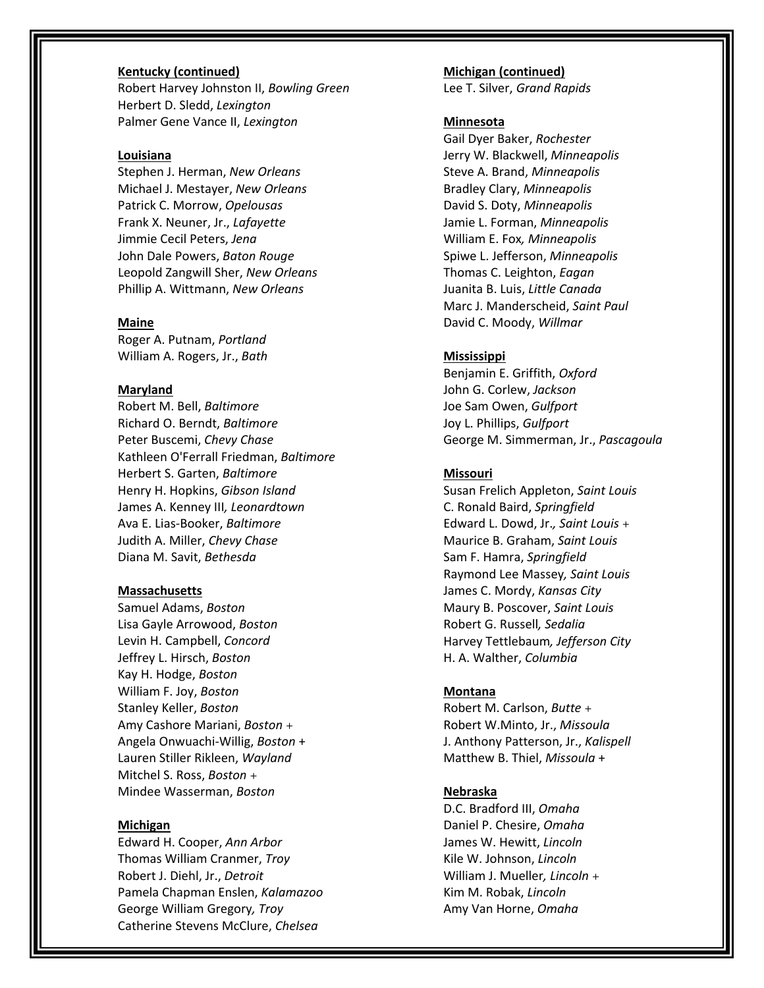## **Kentucky (continued)**

Robert Harvey Johnston II, *Bowling Green* Herbert D. Sledd, *Lexington* Palmer Gene Vance II, *Lexington*

#### **Louisiana**

Stephen J. Herman, *New Orleans* Michael J. Mestayer, *New Orleans* Patrick C. Morrow, *Opelousas* Frank X. Neuner, Jr., *Lafayette* Jimmie Cecil Peters, *Jena* John Dale Powers, *Baton Rouge* Leopold Zangwill Sher, *New Orleans* Phillip A. Wittmann, *New Orleans*

## **Maine**

Roger A. Putnam, *Portland* William A. Rogers, Jr., *Bath*

## **Maryland**

Robert M. Bell, *Baltimore* Richard O. Berndt, *Baltimore* Peter Buscemi, *Chevy Chase* Kathleen O'Ferrall Friedman, *Baltimore* Herbert S. Garten, *Baltimore* Henry H. Hopkins, *Gibson Island* James A. Kenney III*, Leonardtown* Ava E. Lias-Booker, *Baltimore* Judith A. Miller, *Chevy Chase* Diana M. Savit, *Bethesda*

#### **Massachusetts**

Samuel Adams, *Boston* Lisa Gayle Arrowood, *Boston* Levin H. Campbell, *Concord* Jeffrey L. Hirsch, *Boston* Kay H. Hodge, *Boston* William F. Joy, *Boston* Stanley Keller, *Boston* Amy Cashore Mariani, *Boston* + Angela Onwuachi-Willig, *Boston* + Lauren Stiller Rikleen, *Wayland* Mitchel S. Ross, *Boston* + Mindee Wasserman, *Boston*

#### **Michigan**

Edward H. Cooper, *Ann Arbor* Thomas William Cranmer, *Troy* Robert J. Diehl, Jr., *Detroit* Pamela Chapman Enslen, *Kalamazoo* George William Gregory*, Troy* Catherine Stevens McClure, *Chelsea*

**Michigan (continued)** Lee T. Silver, *Grand Rapids*

## **Minnesota**

Gail Dyer Baker, *Rochester* Jerry W. Blackwell, *Minneapolis*  Steve A. Brand, *Minneapolis* Bradley Clary, *Minneapolis* David S. Doty, *Minneapolis* Jamie L. Forman, *Minneapolis* William E. Fox*, Minneapolis* Spiwe L. Jefferson, *Minneapolis* Thomas C. Leighton, *Eagan* Juanita B. Luis, *Little Canada* Marc J. Manderscheid, *Saint Paul* David C. Moody, *Willmar*

## **Mississippi**

Benjamin E. Griffith, *Oxford* John G. Corlew, *Jackson* Joe Sam Owen, *Gulfport* Joy L. Phillips, *Gulfport* George M. Simmerman, Jr., *Pascagoula*

#### **Missouri**

Susan Frelich Appleton, *Saint Louis* C. Ronald Baird, *Springfield* Edward L. Dowd, Jr.*, Saint Louis* + Maurice B. Graham, *Saint Louis* Sam F. Hamra, *Springfield* Raymond Lee Massey*, Saint Louis* James C. Mordy, *Kansas City* Maury B. Poscover, *Saint Louis* Robert G. Russell*, Sedalia* Harvey Tettlebaum*, Jefferson City* H. A. Walther, *Columbia*

#### **Montana**

Robert M. Carlson, *Butte* + Robert W.Minto, Jr., *Missoula* J. Anthony Patterson, Jr., *Kalispell* Matthew B. Thiel, *Missoula* +

## **Nebraska**

D.C. Bradford III, *Omaha* Daniel P. Chesire, *Omaha* James W. Hewitt, *Lincoln* Kile W. Johnson, *Lincoln* William J. Mueller*, Lincoln* + Kim M. Robak, *Lincoln* Amy Van Horne, *Omaha*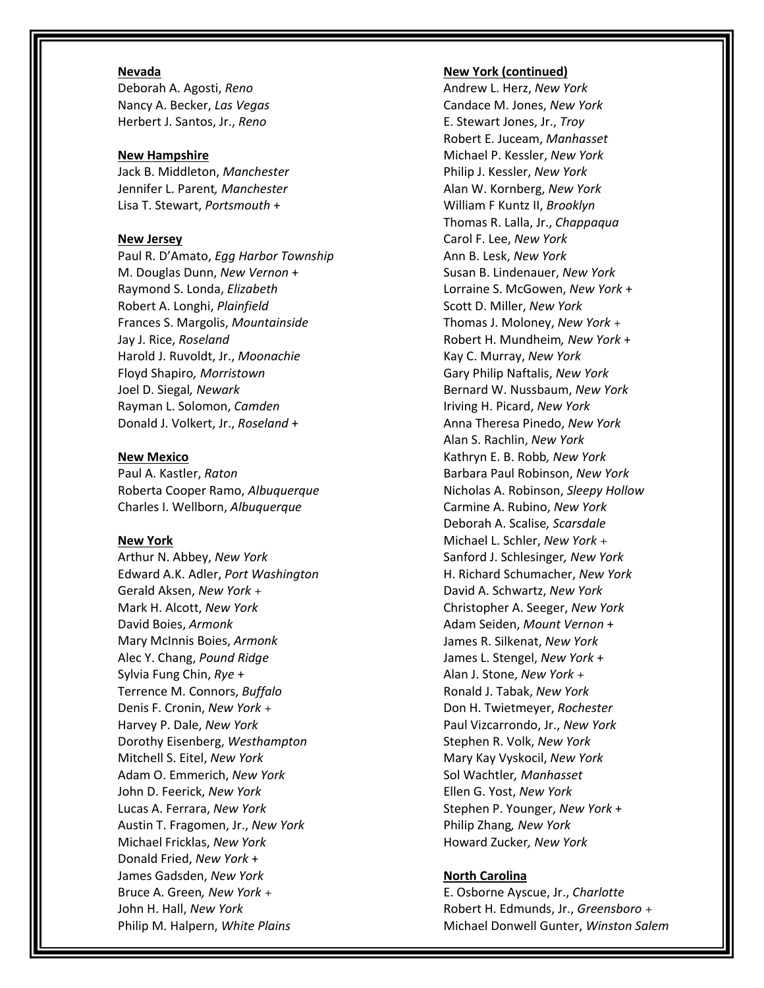# **Nevada**

Deborah A. Agosti, *Reno* Nancy A. Becker, *Las Vegas* Herbert J. Santos, Jr., *Reno*

#### **New Hampshire**

Jack B. Middleton, *Manchester* Jennifer L. Parent*, Manchester* Lisa T. Stewart, *Portsmouth* +

#### **New Jersey**

Paul R. D'Amato, *Egg Harbor Township* M. Douglas Dunn, *New Vernon* + Raymond S. Londa, *Elizabeth* Robert A. Longhi, *Plainfield* Frances S. Margolis, *Mountainside* Jay J. Rice, *Roseland* Harold J. Ruvoldt, Jr., *Moonachie* Floyd Shapiro*, Morristown* Joel D. Siegal*, Newark* Rayman L. Solomon, *Camden* Donald J. Volkert, Jr., *Roseland* +

#### **New Mexico**

Paul A. Kastler, *Raton* Roberta Cooper Ramo, *Albuquerque* Charles I. Wellborn, *Albuquerque*

#### **New York**

Arthur N. Abbey, *New York* Edward A.K. Adler, *Port Washington* Gerald Aksen, *New York* + Mark H. Alcott, *New York* David Boies, *Armonk* Mary McInnis Boies, *Armonk* Alec Y. Chang, *Pound Ridge* Sylvia Fung Chin, *Rye* + Terrence M. Connors, *Buffalo* Denis F. Cronin, *New York* + Harvey P. Dale, *New York* Dorothy Eisenberg, *Westhampton* Mitchell S. Eitel, *New York* Adam O. Emmerich, *New York* John D. Feerick, *New York* Lucas A. Ferrara, *New York* Austin T. Fragomen, Jr., *New York* Michael Fricklas, *New York* Donald Fried, *New York* + James Gadsden, *New York* Bruce A. Green*, New York* + John H. Hall, *New York* Philip M. Halpern, *White Plains*

#### **New York (continued)**

Andrew L. Herz, *New York* Candace M. Jones, *New York* E. Stewart Jones, Jr., *Troy* Robert E. Juceam, *Manhasset* Michael P. Kessler, *New York* Philip J. Kessler, *New York* Alan W. Kornberg, *New York* William F Kuntz II, *Brooklyn* Thomas R. Lalla, Jr., *Chappaqua* Carol F. Lee, *New York*  Ann B. Lesk, *New York* Susan B. Lindenauer, *New York* Lorraine S. McGowen, *New York* + Scott D. Miller, *New York* Thomas J. Moloney, *New York* + Robert H. Mundheim*, New York* + Kay C. Murray, *New York* Gary Philip Naftalis, *New York* Bernard W. Nussbaum, *New York* Iriving H. Picard, *New York* Anna Theresa Pinedo, *New York* Alan S. Rachlin, *New York* Kathryn E. B. Robb*, New York* Barbara Paul Robinson, *New York* Nicholas A. Robinson, *Sleepy Hollow* Carmine A. Rubino, *New York* Deborah A. Scalise*, Scarsdale* Michael L. Schler, *New York* + Sanford J. Schlesinger*, New York* H. Richard Schumacher, *New York* David A. Schwartz, *New York* Christopher A. Seeger, *New York* Adam Seiden, *Mount Vernon* + James R. Silkenat, *New York* James L. Stengel, *New York* + Alan J. Stone, *New York* + Ronald J. Tabak, *New York* Don H. Twietmeyer, *Rochester* Paul Vizcarrondo, Jr., *New York* Stephen R. Volk, *New York* Mary Kay Vyskocil, *New York* Sol Wachtler*, Manhasset* Ellen G. Yost, *New York* Stephen P. Younger, *New York* + Philip Zhang*, New York* Howard Zucker*, New York*

#### **North Carolina**

E. Osborne Ayscue, Jr., *Charlotte* Robert H. Edmunds, Jr., *Greensboro* + Michael Donwell Gunter, *Winston Salem*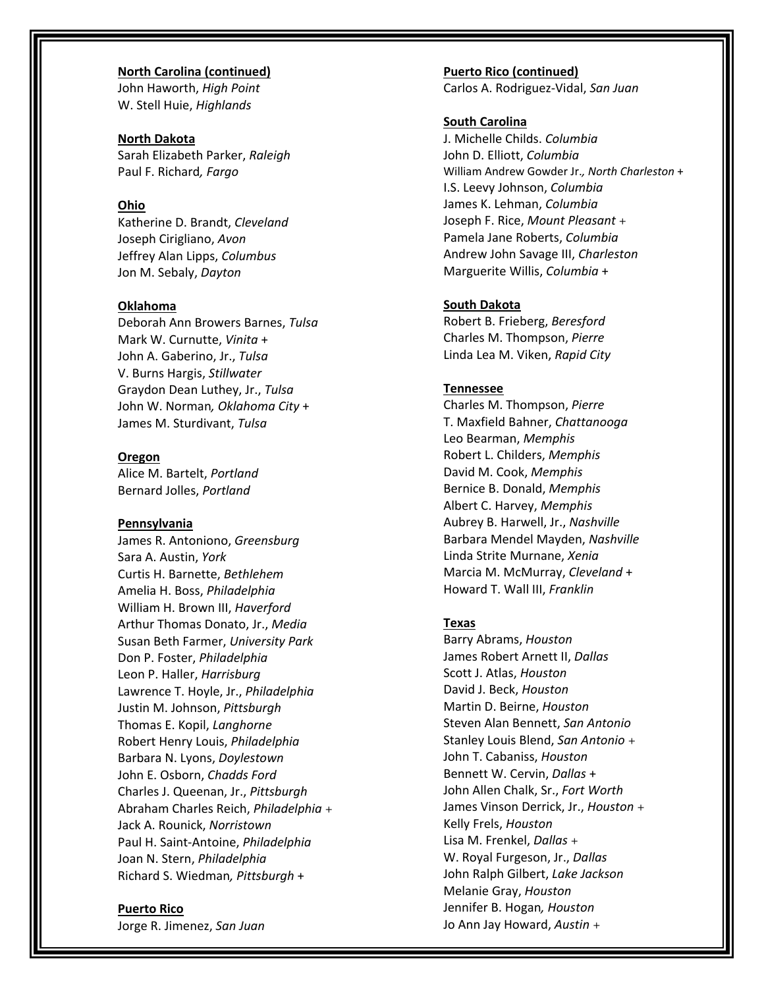**North Carolina (continued)** John Haworth, *High Point* W. Stell Huie, *Highlands*

**North Dakota** Sarah Elizabeth Parker, *Raleigh* Paul F. Richard*, Fargo*

# **Ohio**

Katherine D. Brandt, *Cleveland* Joseph Cirigliano, *Avon* Jeffrey Alan Lipps, *Columbus* Jon M. Sebaly, *Dayton*

#### **Oklahoma**

Deborah Ann Browers Barnes, *Tulsa* Mark W. Curnutte, *Vinita* + John A. Gaberino, Jr., *Tulsa* V. Burns Hargis, *Stillwater* Graydon Dean Luthey, Jr., *Tulsa* John W. Norman*, Oklahoma City* + James M. Sturdivant, *Tulsa*

## **Oregon**

Alice M. Bartelt, *Portland* Bernard Jolles, *Portland*

#### **Pennsylvania**

James R. Antoniono, *Greensburg* Sara A. Austin, *York* Curtis H. Barnette, *Bethlehem* Amelia H. Boss, *Philadelphia* William H. Brown III, *Haverford* Arthur Thomas Donato, Jr., *Media* Susan Beth Farmer, *University Park*  Don P. Foster, *Philadelphia* Leon P. Haller, *Harrisburg* Lawrence T. Hoyle, Jr., *Philadelphia* Justin M. Johnson, *Pittsburgh* Thomas E. Kopil, *Langhorne* Robert Henry Louis, *Philadelphia* Barbara N. Lyons, *Doylestown* John E. Osborn, *Chadds Ford* Charles J. Queenan, Jr., *Pittsburgh* Abraham Charles Reich, *Philadelphia* + Jack A. Rounick, *Norristown* Paul H. Saint-Antoine, *Philadelphia* Joan N. Stern, *Philadelphia* Richard S. Wiedman*, Pittsburgh* +

#### **Puerto Rico**

Jorge R. Jimenez, *San Juan*

**Puerto Rico (continued)** Carlos A. Rodriguez-Vidal, *San Juan*

## **South Carolina**

J. Michelle Childs. *Columbia* John D. Elliott, *Columbia* William Andrew Gowder Jr.*, North Charleston* + I.S. Leevy Johnson, *Columbia* James K. Lehman, *Columbia* Joseph F. Rice, *Mount Pleasant* + Pamela Jane Roberts, *Columbia* Andrew John Savage III, *Charleston* Marguerite Willis, *Columbia* +

### **South Dakota**

Robert B. Frieberg, *Beresford*  Charles M. Thompson, *Pierre* Linda Lea M. Viken, *Rapid City*

## **Tennessee**

Charles M. Thompson, *Pierre* T. Maxfield Bahner, *Chattanooga* Leo Bearman, *Memphis* Robert L. Childers, *Memphis* David M. Cook, *Memphis* Bernice B. Donald, *Memphis* Albert C. Harvey, *Memphis* Aubrey B. Harwell, Jr., *Nashville* Barbara Mendel Mayden, *Nashville* Linda Strite Murnane, *Xenia* Marcia M. McMurray, *Cleveland* + Howard T. Wall III, *Franklin*

#### **Texas**

Barry Abrams, *Houston* James Robert Arnett II, *Dallas* Scott J. Atlas, *Houston* David J. Beck, *Houston* Martin D. Beirne, *Houston* Steven Alan Bennett, *San Antonio* Stanley Louis Blend, *San Antonio* + John T. Cabaniss, *Houston* Bennett W. Cervin, *Dallas* + John Allen Chalk, Sr., *Fort Worth* James Vinson Derrick, Jr., *Houston* + Kelly Frels, *Houston* Lisa M. Frenkel, *Dallas* + W. Royal Furgeson, Jr., *Dallas* John Ralph Gilbert, *Lake Jackson* Melanie Gray, *Houston* Jennifer B. Hogan*, Houston* Jo Ann Jay Howard, *Austin* +